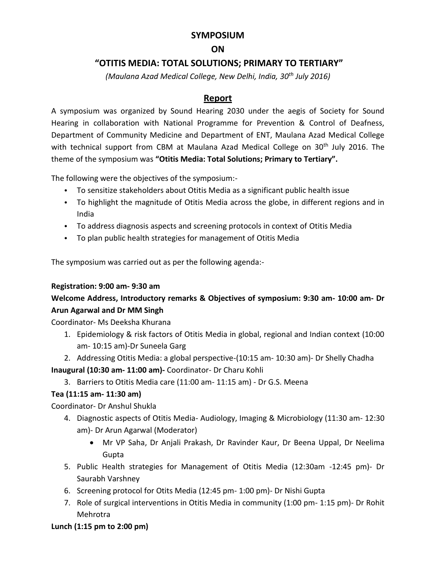## **SYMPOSIUM**

## **ON**

## **"OTITIS MEDIA: TOTAL SOLUTIONS; PRIMARY TO TERTIARY"**

*(Maulana Azad Medical College, New Delhi, India, 30th July 2016)*

## **Report**

A symposium was organized by Sound Hearing 2030 under the aegis of Society for Sound Hearing in collaboration with National Programme for Prevention & Control of Deafness, Department of Community Medicine and Department of ENT, Maulana Azad Medical College with technical support from CBM at Maulana Azad Medical College on  $30<sup>th</sup>$  July 2016. The theme of the symposium was **"Otitis Media: Total Solutions; Primary to Tertiary".**

The following were the objectives of the symposium:-

- To sensitize stakeholders about Otitis Media as a significant public health issue
- To highlight the magnitude of Otitis Media across the globe, in different regions and in India
- To address diagnosis aspects and screening protocols in context of Otitis Media
- To plan public health strategies for management of Otitis Media

The symposium was carried out as per the following agenda:-

## **Registration: 9:00 am- 9:30 am**

## **Welcome Address, Introductory remarks & Objectives of symposium: 9:30 am- 10:00 am- Dr Arun Agarwal and Dr MM Singh**

Coordinator- Ms Deeksha Khurana

- 1. Epidemiology & risk factors of Otitis Media in global, regional and Indian context (10:00 am- 10:15 am)-Dr Suneela Garg
- 2. Addressing Otitis Media: a global perspective-(10:15 am- 10:30 am)- Dr Shelly Chadha **Inaugural (10:30 am- 11:00 am)-** Coordinator- Dr Charu Kohli
	- 3. Barriers to Otitis Media care (11:00 am- 11:15 am) Dr G.S. Meena

## **Tea (11:15 am- 11:30 am)**

Coordinator- Dr Anshul Shukla

- 4. Diagnostic aspects of Otitis Media- Audiology, Imaging & Microbiology (11:30 am- 12:30 am)- Dr Arun Agarwal (Moderator)
	- Mr VP Saha, Dr Anjali Prakash, Dr Ravinder Kaur, Dr Beena Uppal, Dr Neelima Gupta
- 5. Public Health strategies for Management of Otitis Media (12:30am -12:45 pm)- Dr Saurabh Varshney
- 6. Screening protocol for Otits Media (12:45 pm- 1:00 pm)- Dr Nishi Gupta
- 7. Role of surgical interventions in Otitis Media in community (1:00 pm- 1:15 pm)- Dr Rohit Mehrotra

## **Lunch (1:15 pm to 2:00 pm)**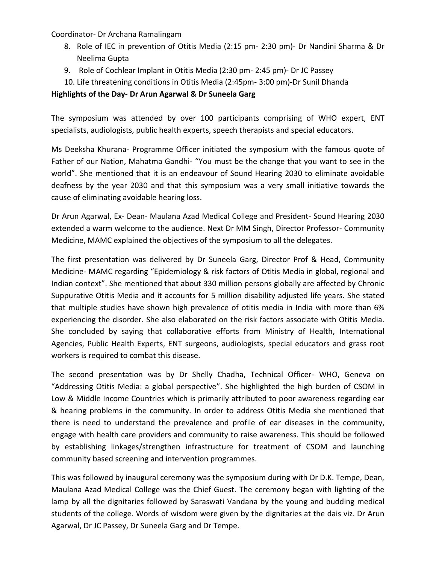Coordinator- Dr Archana Ramalingam

- 8. Role of IEC in prevention of Otitis Media (2:15 pm- 2:30 pm)- Dr Nandini Sharma & Dr Neelima Gupta
- 9. Role of Cochlear Implant in Otitis Media (2:30 pm- 2:45 pm)- Dr JC Passey
- 10. Life threatening conditions in Otitis Media (2:45pm- 3:00 pm)-Dr Sunil Dhanda

#### **Highlights of the Day- Dr Arun Agarwal & Dr Suneela Garg**

The symposium was attended by over 100 participants comprising of WHO expert, ENT specialists, audiologists, public health experts, speech therapists and special educators.

Ms Deeksha Khurana- Programme Officer initiated the symposium with the famous quote of Father of our Nation, Mahatma Gandhi- "You must be the change that you want to see in the world". She mentioned that it is an endeavour of Sound Hearing 2030 to eliminate avoidable deafness by the year 2030 and that this symposium was a very small initiative towards the cause of eliminating avoidable hearing loss.

Dr Arun Agarwal, Ex- Dean- Maulana Azad Medical College and President- Sound Hearing 2030 extended a warm welcome to the audience. Next Dr MM Singh, Director Professor- Community Medicine, MAMC explained the objectives of the symposium to all the delegates.

The first presentation was delivered by Dr Suneela Garg, Director Prof & Head, Community Medicine- MAMC regarding "Epidemiology & risk factors of Otitis Media in global, regional and Indian context". She mentioned that about 330 million persons globally are affected by Chronic Suppurative Otitis Media and it accounts for 5 million disability adjusted life years. She stated that multiple studies have shown high prevalence of otitis media in India with more than 6% experiencing the disorder. She also elaborated on the risk factors associate with Otitis Media. She concluded by saying that collaborative efforts from Ministry of Health, International Agencies, Public Health Experts, ENT surgeons, audiologists, special educators and grass root workers is required to combat this disease.

The second presentation was by Dr Shelly Chadha, Technical Officer- WHO, Geneva on "Addressing Otitis Media: a global perspective". She highlighted the high burden of CSOM in Low & Middle Income Countries which is primarily attributed to poor awareness regarding ear & hearing problems in the community. In order to address Otitis Media she mentioned that there is need to understand the prevalence and profile of ear diseases in the community, engage with health care providers and community to raise awareness. This should be followed by establishing linkages/strengthen infrastructure for treatment of CSOM and launching community based screening and intervention programmes.

This was followed by inaugural ceremony was the symposium during with Dr D.K. Tempe, Dean, Maulana Azad Medical College was the Chief Guest. The ceremony began with lighting of the lamp by all the dignitaries followed by Saraswati Vandana by the young and budding medical students of the college. Words of wisdom were given by the dignitaries at the dais viz. Dr Arun Agarwal, Dr JC Passey, Dr Suneela Garg and Dr Tempe.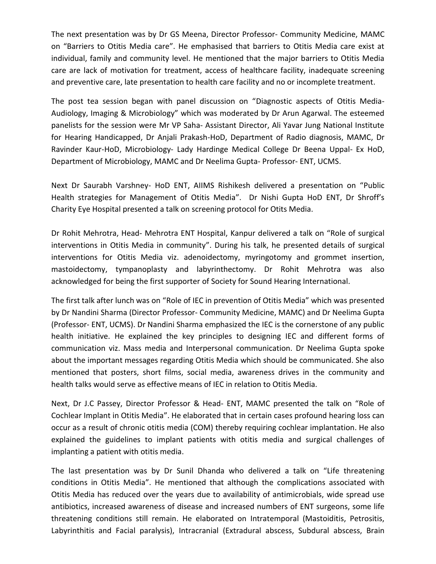The next presentation was by Dr GS Meena, Director Professor- Community Medicine, MAMC on "Barriers to Otitis Media care". He emphasised that barriers to Otitis Media care exist at individual, family and community level. He mentioned that the major barriers to Otitis Media care are lack of motivation for treatment, access of healthcare facility, inadequate screening and preventive care, late presentation to health care facility and no or incomplete treatment.

The post tea session began with panel discussion on "Diagnostic aspects of Otitis Media-Audiology, Imaging & Microbiology" which was moderated by Dr Arun Agarwal. The esteemed panelists for the session were Mr VP Saha- Assistant Director, Ali Yavar Jung National Institute for Hearing Handicapped, Dr Anjali Prakash-HoD, Department of Radio diagnosis, MAMC, Dr Ravinder Kaur-HoD, Microbiology- Lady Hardinge Medical College Dr Beena Uppal- Ex HoD, Department of Microbiology, MAMC and Dr Neelima Gupta- Professor- ENT, UCMS.

Next Dr Saurabh Varshney- HoD ENT, AIIMS Rishikesh delivered a presentation on "Public Health strategies for Management of Otitis Media". Dr Nishi Gupta HoD ENT, Dr Shroff's Charity Eye Hospital presented a talk on screening protocol for Otits Media.

Dr Rohit Mehrotra, Head- Mehrotra ENT Hospital, Kanpur delivered a talk on "Role of surgical interventions in Otitis Media in community". During his talk, he presented details of surgical interventions for Otitis Media viz. adenoidectomy, myringotomy and grommet insertion, mastoidectomy, tympanoplasty and labyrinthectomy. Dr Rohit Mehrotra was also acknowledged for being the first supporter of Society for Sound Hearing International.

The first talk after lunch was on "Role of IEC in prevention of Otitis Media" which was presented by Dr Nandini Sharma (Director Professor- Community Medicine, MAMC) and Dr Neelima Gupta (Professor- ENT, UCMS). Dr Nandini Sharma emphasized the IEC is the cornerstone of any public health initiative. He explained the key principles to designing IEC and different forms of communication viz. Mass media and Interpersonal communication. Dr Neelima Gupta spoke about the important messages regarding Otitis Media which should be communicated. She also mentioned that posters, short films, social media, awareness drives in the community and health talks would serve as effective means of IEC in relation to Otitis Media.

Next, Dr J.C Passey, Director Professor & Head- ENT, MAMC presented the talk on "Role of Cochlear Implant in Otitis Media". He elaborated that in certain cases profound hearing loss can occur as a result of chronic otitis media (COM) thereby requiring cochlear implantation. He also explained the guidelines to implant patients with otitis media and surgical challenges of implanting a patient with otitis media.

The last presentation was by Dr Sunil Dhanda who delivered a talk on "Life threatening conditions in Otitis Media". He mentioned that although the complications associated with Otitis Media has reduced over the years due to availability of antimicrobials, wide spread use antibiotics, increased awareness of disease and increased numbers of ENT surgeons, some life threatening conditions still remain. He elaborated on Intratemporal (Mastoiditis, Petrositis, Labyrinthitis and Facial paralysis), Intracranial (Extradural abscess, Subdural abscess, Brain